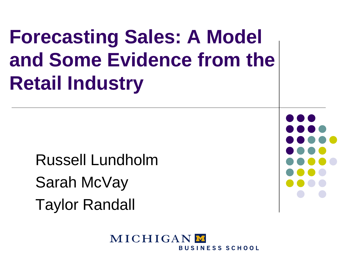# **Forecasting Sales: A Model and Some Evidence from the Retail Industry**

Russell Lundholm Sarah McVay Taylor Randall



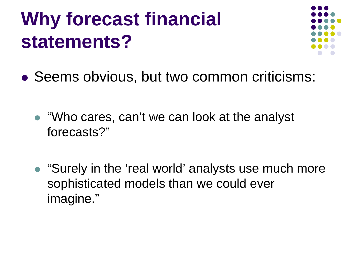# **Why forecast financial statements?**



- Seems obvious, but two common criticisms:
	- "Who cares, can't we can look at the analyst forecasts?"
	- "Surely in the 'real world' analysts use much more sophisticated models than we could ever imagine."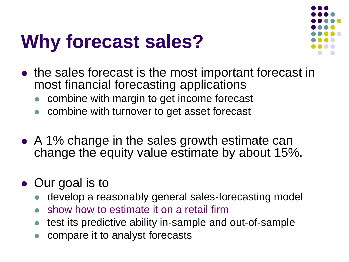# **Why forecast sales?**



- the sales forecast is the most important forecast in most financial forecasting applications
	- combine with margin to get income forecast
	- combine with turnover to get asset forecast
- A 1% change in the sales growth estimate can change the equity value estimate by about 15%.
- Our goal is to
	- develop a reasonably general sales-forecasting model
	- show how to estimate it on a retail firm
	- test its predictive ability in-sample and out-of-sample
	- compare it to analyst forecasts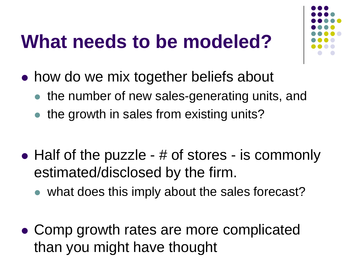## **What needs to be modeled?**

- how do we mix together beliefs about
	- the number of new sales-generating units, and
	- the growth in sales from existing units?
- Half of the puzzle # of stores is commonly estimated/disclosed by the firm.
	- what does this imply about the sales forecast?
- Comp growth rates are more complicated than you might have thought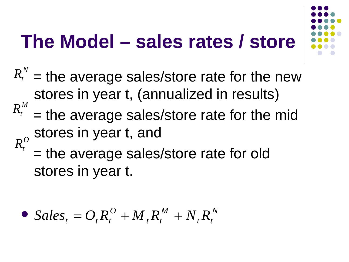# **The Model – sales rates / store**



- $R_t^N$  = the average sales/store rate for the new stores in year t, (annualized in results)
- = the average sales/store rate for the mid stores in year t, and  $R_t^M$  $R_t^O$ 
	- = the average sales/store rate for old stores in year t.

• Sales<sub>t</sub> = 
$$
O_t R_t^O + M_t R_t^M + N_t R_t^N
$$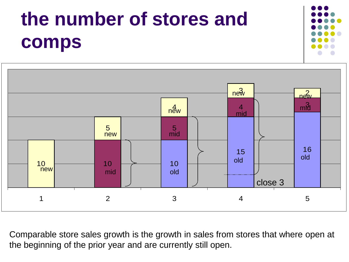# **the number of stores and comps**



Comparable store sales growth is the growth in sales from stores that where open at the beginning of the prior year and are currently still open.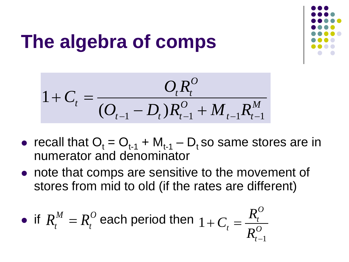

# **The algebra of comps**

$$
1 + C_t = \frac{O_t R_t^O}{(O_{t-1} - D_t)R_{t-1}^O + M_{t-1}R_{t-1}^M}
$$

- recall that  $O_t = O_{t-1} + M_{t-1} D_t$  so same stores are in numerator and denominator
- note that comps are sensitive to the movement of stores from mid to old (if the rates are different)

• if 
$$
R_t^M = R_t^O
$$
 each period then  $1 + C_t = \frac{R_t^O}{R_{t-1}^O}$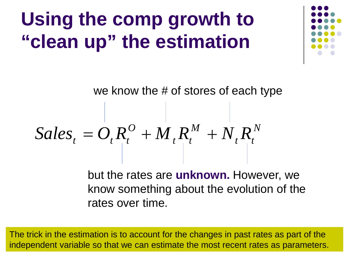# **Using the comp growth to "clean up" the estimation**

we know the # of stores of each type

$$
Sales_{t} = O_{t}R_{t}^{O} + M_{t}R_{t}^{M} + N_{t}R_{t}^{N}
$$

but the rates are **unknown.** However, we know something about the evolution of the rates over time.

The trick in the estimation is to account for the changes in past rates as part of the independent variable so that we can estimate the most recent rates as parameters.

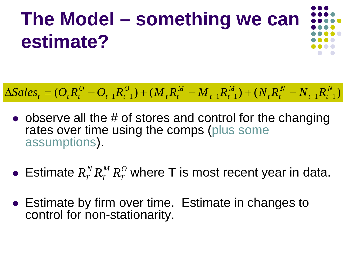# **The Model – something we can estimate?**

$$
\Delta Sales_{t} = (O_{t}R_{t}^{O} - O_{t-1}R_{t-1}^{O}) + (M_{t}R_{t}^{M} - M_{t-1}R_{t-1}^{M}) + (N_{t}R_{t}^{N} - N_{t-1}R_{t-1}^{N})
$$

- $\bullet$  observe all the # of stores and control for the changing rates over time using the comps (plus some assumptions).
- Estimate  $R_T^N R_T^M R_T^O$  where T is most recent year in data.
- Estimate by firm over time. Estimate in changes to control for non-stationarity.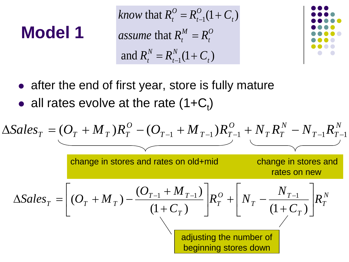#### **Model 1**

*know* that  $R_t^O = R_{t-1}^O(1+C_t)$ *assume* that  $R_t^M = R_t^O$ and  $R_t^N = R_{t-1}^N(1+C_t)$ 



- after the end of first year, store is fully mature
- all rates evolve at the rate  $(1+C_t)$

$$
\Delta Sales_T = (O_T + M_T)R_T^O - (O_{T-1} + M_{T-1})R_{T-1}^O + N_T R_T^N - N_{T-1}R_{T-1}^N
$$
\nchange in stores and rates on old+mid

\n
$$
\Delta Sales_T = \left[ (O_T + M_T) - \frac{(O_{T-1} + M_{T-1})}{(1 + C_T)} \right]R_T^O + \left[ N_T - \frac{N_{T-1}}{(1 + C_T)} \right]R_T^N
$$
\nadding the number of beginning stores down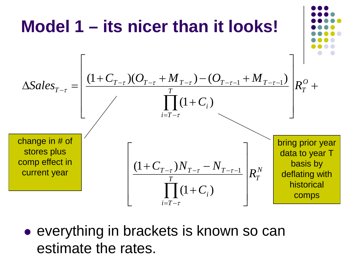

• everything in brackets is known so can estimate the rates.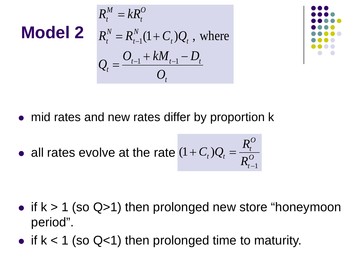**Model 2** 
$$
R_t^M = kR_t^O
$$
  
\n $R_t^N = R_{t-1}^N (1 + C_t) Q_t$ , where  
\n $Q_t = \frac{O_{t-1} + kM_{t-1} - D_t}{O_t}$ 



- mid rates and new rates differ by proportion k
- *O t O t*  $t^{1/2}$  $t^{-1}$  $R$  $C_t$ ) $Q_t = \frac{R}{R}$ 1  $(1 + C_t)$ − • all rates evolve at the rate  $(1+C_t)Q_t =$

- if  $k > 1$  (so Q>1) then prolonged new store "honeymoon period".
- if  $k < 1$  (so Q<1) then prolonged time to maturity.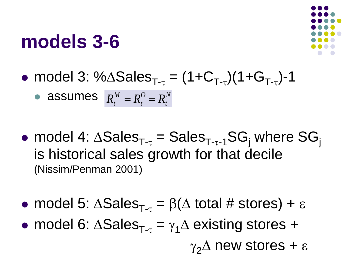#### **models 3-6**



• model 3: % $\triangle$ Sales<sub>T-τ</sub> =  $(1+C_{T-r})(1+G_{T-r})-1$ 

• **assumes** 
$$
R_t^M = R_t^O = R_t^N
$$

- model 4:  $\triangle Sales_{T-\tau} = Sales_{T-\tau-1}SG_i$  where  $SG_i$ is historical sales growth for that decile (Nissim/Penman 2001)
- model 5:  $\triangle$ Sales<sub>T-τ</sub> =  $\beta$ ( $\triangle$  total # stores) + ε
- model 6:  $\triangle Sales_{T-\tau} = \gamma_1 \triangle$  existing stores +

 $\gamma_2\Delta$  new stores + ε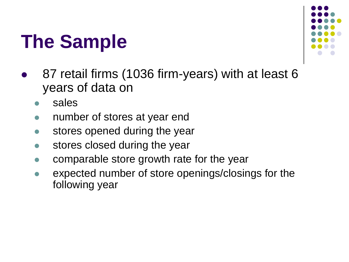## **The Sample**



- 87 retail firms (1036 firm-years) with at least 6 years of data on
	- sales
	- number of stores at year end
	- stores opened during the year
	- **stores closed during the year**
	- comparable store growth rate for the year
	- expected number of store openings/closings for the following year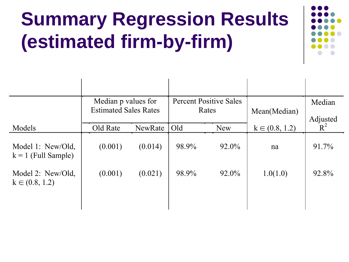# **Summary Regression Results (estimated firm-by-firm)**



|                                            | Median p values for<br><b>Estimated Sales Rates</b> |         | <b>Percent Positive Sales</b><br>Rates |       | Mean(Median)       | Median            |
|--------------------------------------------|-----------------------------------------------------|---------|----------------------------------------|-------|--------------------|-------------------|
| Models                                     | Old Rate                                            | NewRate | Old<br>New                             |       | $k \in (0.8, 1.2)$ | Adjusted<br>$R^2$ |
|                                            |                                                     |         |                                        |       |                    |                   |
| Model 1: New/Old,<br>$k = 1$ (Full Sample) | (0.001)                                             | (0.014) | 98.9%                                  | 92.0% | na                 | 91.7%             |
| Model 2: New/Old,<br>$k \in (0.8, 1.2)$    | (0.001)                                             | (0.021) | 98.9%                                  | 92.0% | 1.0(1.0)           | 92.8%             |
|                                            |                                                     |         |                                        |       |                    |                   |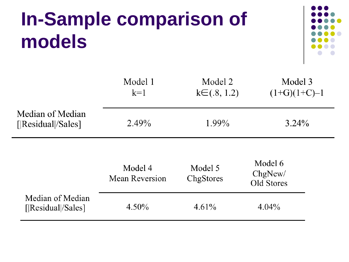# **In-Sample comparison of models**



|                                        | Model 1<br>$k=1$                 | Model 2<br>$k \in (0.8, 1.2)$ | Model 3<br>$(1+G)(1+C)-1$        |
|----------------------------------------|----------------------------------|-------------------------------|----------------------------------|
| Median of Median<br>[ Residual /Sales] | 2.49%<br>1.99%                   |                               | $3.24\%$                         |
|                                        | Model 4<br><b>Mean Reversion</b> | Model 5<br>ChgStores          | Model 6<br>ChgNew/<br>Old Stores |
| Median of Median<br>[ Residual /Sales] | $4.50\%$                         | 4.61%                         | $4.04\%$                         |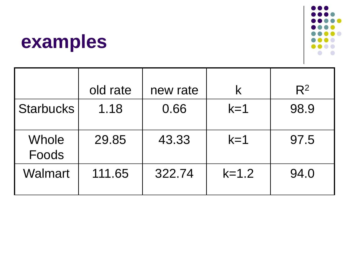# $\bigcap$

#### **examples**

|                       | old rate | new rate | K       | $R^2$ |
|-----------------------|----------|----------|---------|-------|
| <b>Starbucks</b>      | 1.18     | 0.66     | $k=1$   | 98.9  |
| <b>Whole</b><br>Foods | 29.85    | 43.33    | $k=1$   | 97.5  |
| <b>Walmart</b>        | 111.65   | 322.74   | $k=1.2$ | 94.0  |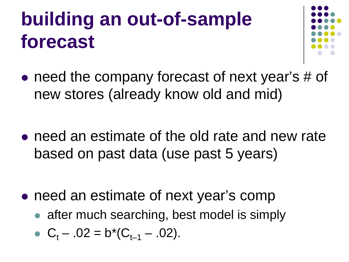# **building an out-of-sample forecast**



- need the company forecast of next year's # of new stores (already know old and mid)
- need an estimate of the old rate and new rate based on past data (use past 5 years)
- need an estimate of next year's comp
	- after much searching, best model is simply

• 
$$
C_t
$$
 - .02 = b\*( $C_{t-1}$  - .02).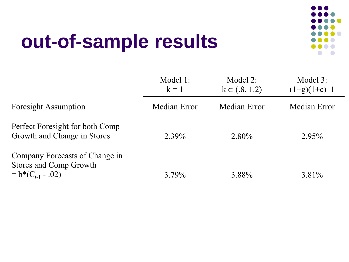# **out-of-sample results**



|                                                                                   | Model 1:<br>$k = 1$ | Model 2:<br>$k \in (.8, 1.2)$ | Model 3:<br>$(1+g)(1+c)-1$ |
|-----------------------------------------------------------------------------------|---------------------|-------------------------------|----------------------------|
| <b>Foresight Assumption</b>                                                       | Median Error        | Median Error                  | Median Error               |
| Perfect Foresight for both Comp<br>Growth and Change in Stores                    | 2.39%               | 2.80%                         | $2.95\%$                   |
| Company Forecasts of Change in<br>Stores and Comp Growth<br>$= b*(C_{t-1} - .02)$ | 3.79%               | 3.88%                         | 3.81%                      |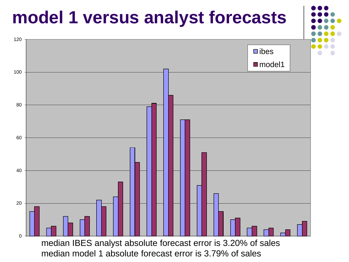

median model 1 absolute forecast error is 3.79% of sales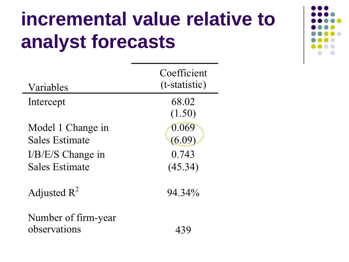# **incremental value relative to analyst forecasts**

439

| Variables             | Coefficient<br>(t-statistic) |
|-----------------------|------------------------------|
| Intercept             | 68.02<br>(1.50)              |
| Model 1 Change in     | 0.069                        |
| Sales Estimate        | (6.09                        |
| $I/B/E/S$ Change in   | 0.743                        |
| <b>Sales Estimate</b> | (45.34)                      |
| Adjusted $R^2$        | 94.34%                       |
|                       |                              |

Number of firm-year observations